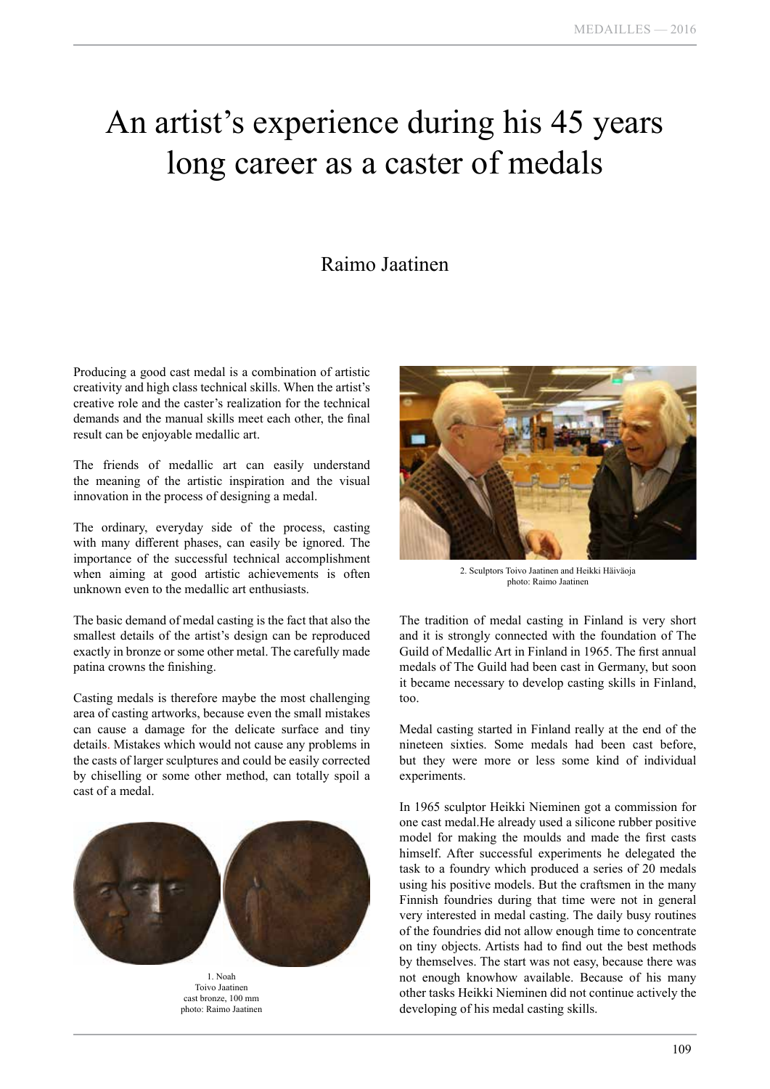## An artist's experience during his 45 years long career as a caster of medals

## Raimo Jaatinen

Producing a good cast medal is a combination of artistic creativity and high class technical skills. When the artist's creative role and the caster's realization for the technical demands and the manual skills meet each other, the final result can be enjoyable medallic art.

The friends of medallic art can easily understand the meaning of the artistic inspiration and the visual innovation in the process of designing a medal.

The ordinary, everyday side of the process, casting with many different phases, can easily be ignored. The importance of the successful technical accomplishment when aiming at good artistic achievements is often unknown even to the medallic art enthusiasts.

The basic demand of medal casting is the fact that also the smallest details of the artist's design can be reproduced exactly in bronze or some other metal. The carefully made patina crowns the finishing.

Casting medals is therefore maybe the most challenging area of casting artworks, because even the small mistakes can cause a damage for the delicate surface and tiny details. Mistakes which would not cause any problems in the casts of larger sculptures and could be easily corrected by chiselling or some other method, can totally spoil a cast of a medal.



1. Noah Toivo Jaatinen cast bronze, 100 mm photo: Raimo Jaatinen



2. Sculptors Toivo Jaatinen and Heikki Häiväoja photo: Raimo Jaatinen

The tradition of medal casting in Finland is very short and it is strongly connected with the foundation of The Guild of Medallic Art in Finland in 1965. The first annual medals of The Guild had been cast in Germany, but soon it became necessary to develop casting skills in Finland, too.

Medal casting started in Finland really at the end of the nineteen sixties. Some medals had been cast before, but they were more or less some kind of individual experiments.

In 1965 sculptor Heikki Nieminen got a commission for one cast medal.He already used a silicone rubber positive model for making the moulds and made the first casts himself. After successful experiments he delegated the task to a foundry which produced a series of 20 medals using his positive models. But the craftsmen in the many Finnish foundries during that time were not in general very interested in medal casting. The daily busy routines of the foundries did not allow enough time to concentrate on tiny objects. Artists had to find out the best methods by themselves. The start was not easy, because there was not enough knowhow available. Because of his many other tasks Heikki Nieminen did not continue actively the developing of his medal casting skills.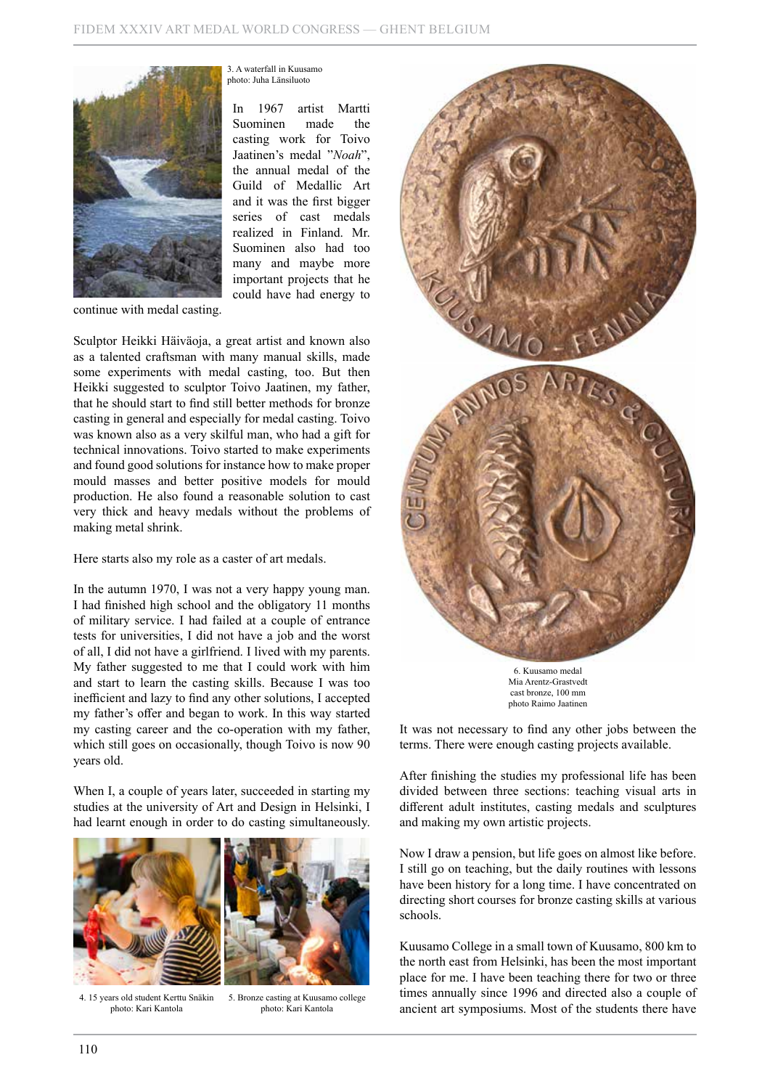

3. A waterfall in Kuusamo photo: Juha Länsiluoto

In 1967 artist Martti Suominen made the casting work for Toivo Jaatinen's medal "*Noah*", the annual medal of the Guild of Medallic Art and it was the first bigger series of cast medals realized in Finland. Mr. Suominen also had too many and maybe more important projects that he could have had energy to

continue with medal casting.

Sculptor Heikki Häiväoja, a great artist and known also as a talented craftsman with many manual skills, made some experiments with medal casting, too. But then Heikki suggested to sculptor Toivo Jaatinen, my father, that he should start to find still better methods for bronze casting in general and especially for medal casting. Toivo was known also as a very skilful man, who had a gift for technical innovations. Toivo started to make experiments and found good solutions for instance how to make proper mould masses and better positive models for mould production. He also found a reasonable solution to cast very thick and heavy medals without the problems of making metal shrink.

Here starts also my role as a caster of art medals.

In the autumn 1970, I was not a very happy young man. I had finished high school and the obligatory 11 months of military service. I had failed at a couple of entrance tests for universities, I did not have a job and the worst of all, I did not have a girlfriend. I lived with my parents. My father suggested to me that I could work with him and start to learn the casting skills. Because I was too inefficient and lazy to find any other solutions, I accepted my father's offer and began to work. In this way started my casting career and the co-operation with my father, which still goes on occasionally, though Toivo is now 90 years old.

When I, a couple of years later, succeeded in starting my studies at the university of Art and Design in Helsinki, I had learnt enough in order to do casting simultaneously.





4. 15 years old student Kerttu Snäkin photo: Kari Kantola

5. Bronze casting at Kuusamo college photo: Kari Kantola



6. Kuusamo medal Mia Arentz-Grastvedt cast bronze, 100 mm photo Raimo Jaatinen

It was not necessary to find any other jobs between the terms. There were enough casting projects available.

After finishing the studies my professional life has been divided between three sections: teaching visual arts in different adult institutes, casting medals and sculptures and making my own artistic projects.

Now I draw a pension, but life goes on almost like before. I still go on teaching, but the daily routines with lessons have been history for a long time. I have concentrated on directing short courses for bronze casting skills at various schools.

Kuusamo College in a small town of Kuusamo, 800 km to the north east from Helsinki, has been the most important place for me. I have been teaching there for two or three times annually since 1996 and directed also a couple of ancient art symposiums. Most of the students there have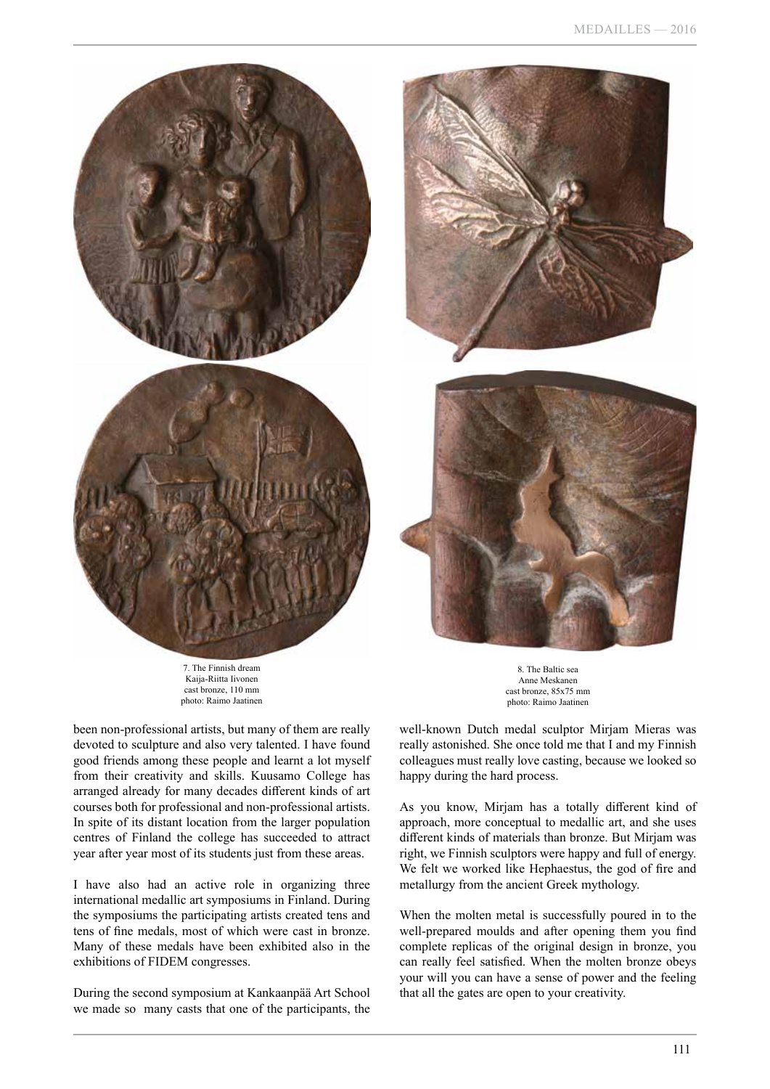

7. The Finnish dream Kaija-Riitta Iivonen cast bronze, 110 mm photo: Raimo Jaatinen





8. The Baltic sea Anne Meskanen cast bronze, 85x75 mm photo: Raimo Jaatinen

been non-professional artists, but many of them are really devoted to sculpture and also very talented. I have found good friends among these people and learnt a lot myself from their creativity and skills. Kuusamo College has arranged already for many decades different kinds of art courses both for professional and non-professional artists. In spite of its distant location from the larger population centres of Finland the college has succeeded to attract year after year most of its students just from these areas.

I have also had an active role in organizing three international medallic art symposiums in Finland. During the symposiums the participating artists created tens and tens of fine medals, most of which were cast in bronze. Many of these medals have been exhibited also in the exhibitions of FIDEM congresses.

During the second symposium at Kankaanpää Art School we made so many casts that one of the participants, the

well-known Dutch medal sculptor Mirjam Mieras was really astonished. She once told me that I and my Finnish colleagues must really love casting, because we looked so happy during the hard process.

As you know, Mirjam has a totally different kind of approach, more conceptual to medallic art, and she uses different kinds of materials than bronze. But Mirjam was right, we Finnish sculptors were happy and full of energy. We felt we worked like Hephaestus, the god of fire and metallurgy from the ancient Greek mythology.

When the molten metal is successfully poured in to the well-prepared moulds and after opening them you find complete replicas of the original design in bronze, you can really feel satisfied. When the molten bronze obeys your will you can have a sense of power and the feeling that all the gates are open to your creativity.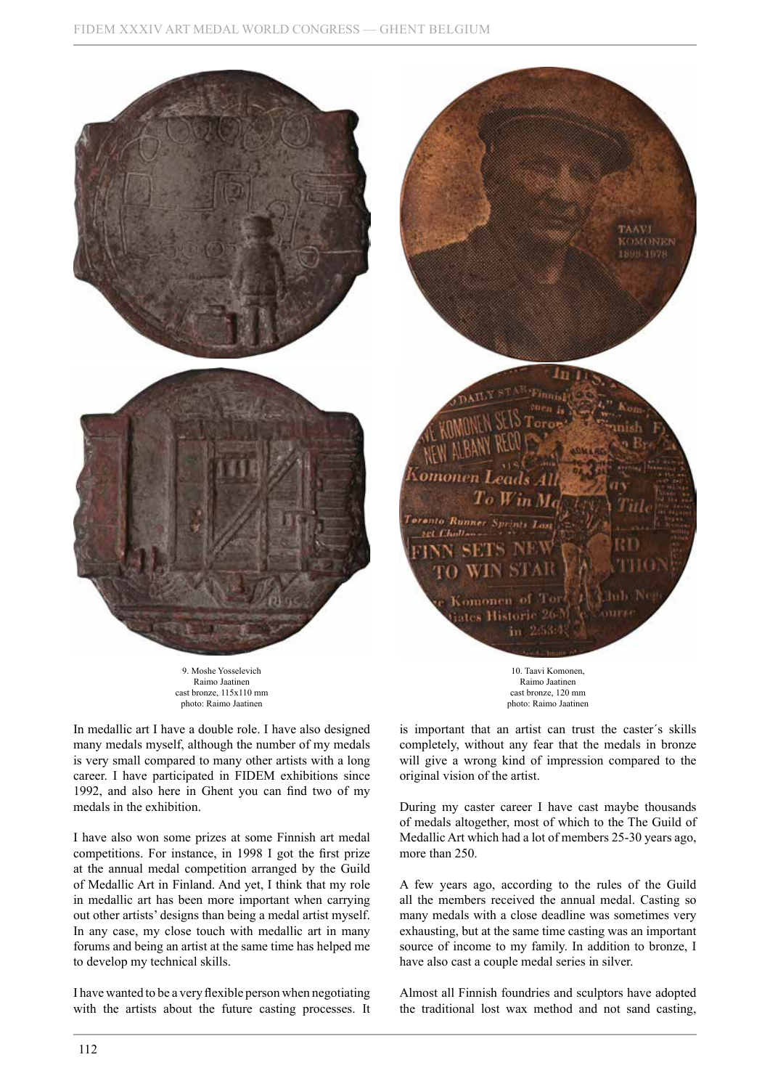

Raimo Jaatinen cast bronze, 115x110 mm photo: Raimo Jaatinen

In medallic art I have a double role. I have also designed many medals myself, although the number of my medals is very small compared to many other artists with a long career. I have participated in FIDEM exhibitions since 1992, and also here in Ghent you can find two of my medals in the exhibition.

I have also won some prizes at some Finnish art medal competitions. For instance, in 1998 I got the first prize at the annual medal competition arranged by the Guild of Medallic Art in Finland. And yet, I think that my role in medallic art has been more important when carrying out other artists' designs than being a medal artist myself. In any case, my close touch with medallic art in many forums and being an artist at the same time has helped me to develop my technical skills.

I have wanted to be a very flexible person when negotiating with the artists about the future casting processes. It

Raimo Jaatinen cast bronze, 120 mm photo: Raimo Jaatinen

is important that an artist can trust the caster´s skills completely, without any fear that the medals in bronze will give a wrong kind of impression compared to the original vision of the artist.

During my caster career I have cast maybe thousands of medals altogether, most of which to the The Guild of Medallic Art which had a lot of members 25-30 years ago, more than 250.

A few years ago, according to the rules of the Guild all the members received the annual medal. Casting so many medals with a close deadline was sometimes very exhausting, but at the same time casting was an important source of income to my family. In addition to bronze, I have also cast a couple medal series in silver.

Almost all Finnish foundries and sculptors have adopted the traditional lost wax method and not sand casting,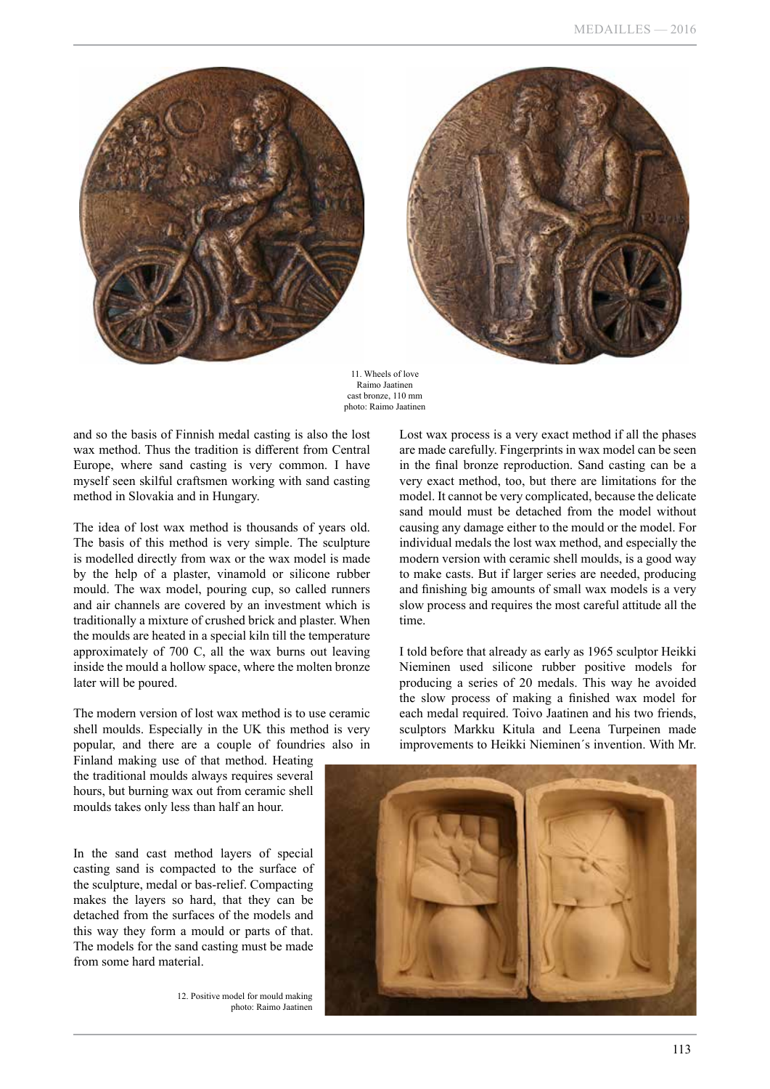



11. Wheels of love Raimo Jaatinen cast bronze, 110 mm photo: Raimo Jaatinen

and so the basis of Finnish medal casting is also the lost wax method. Thus the tradition is different from Central Europe, where sand casting is very common. I have myself seen skilful craftsmen working with sand casting method in Slovakia and in Hungary.

The idea of lost wax method is thousands of years old. The basis of this method is very simple. The sculpture is modelled directly from wax or the wax model is made by the help of a plaster, vinamold or silicone rubber mould. The wax model, pouring cup, so called runners and air channels are covered by an investment which is traditionally a mixture of crushed brick and plaster. When the moulds are heated in a special kiln till the temperature approximately of 700 C, all the wax burns out leaving inside the mould a hollow space, where the molten bronze later will be poured.

The modern version of lost wax method is to use ceramic shell moulds. Especially in the UK this method is very popular, and there are a couple of foundries also in

are made carefully. Fingerprints in wax model can be seen in the final bronze reproduction. Sand casting can be a very exact method, too, but there are limitations for the model. It cannot be very complicated, because the delicate sand mould must be detached from the model without causing any damage either to the mould or the model. For individual medals the lost wax method, and especially the modern version with ceramic shell moulds, is a good way to make casts. But if larger series are needed, producing and finishing big amounts of small wax models is a very slow process and requires the most careful attitude all the time.

Lost wax process is a very exact method if all the phases

I told before that already as early as 1965 sculptor Heikki Nieminen used silicone rubber positive models for producing a series of 20 medals. This way he avoided the slow process of making a finished wax model for each medal required. Toivo Jaatinen and his two friends, sculptors Markku Kitula and Leena Turpeinen made improvements to Heikki Nieminen´s invention. With Mr.

Finland making use of that method. Heating the traditional moulds always requires several hours, but burning wax out from ceramic shell moulds takes only less than half an hour.

In the sand cast method layers of special casting sand is compacted to the surface of the sculpture, medal or bas-relief. Compacting makes the layers so hard, that they can be detached from the surfaces of the models and this way they form a mould or parts of that. The models for the sand casting must be made from some hard material.

> 12. Positive model for mould making photo: Raimo Jaatinen